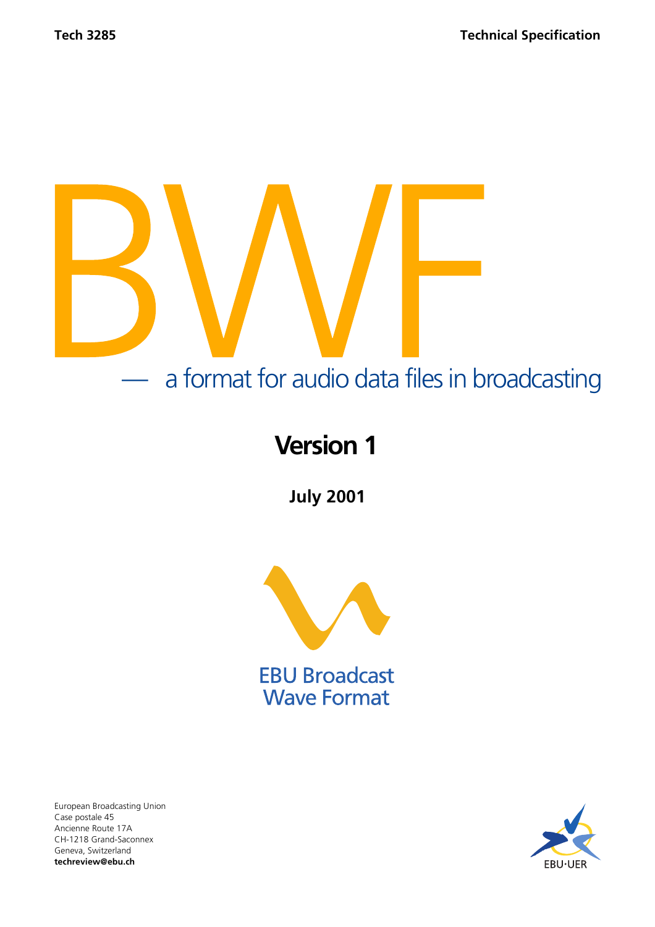# — a format for audio data files in broadcasting

# **Version 1**

**July 2001**



**EBU Broadcast Wave Format** 

European Broadcasting Union Case postale 45 Ancienne Route 17A CH-1218 Grand-Saconnex Geneva, Switzerland **techreview@ebu.ch**

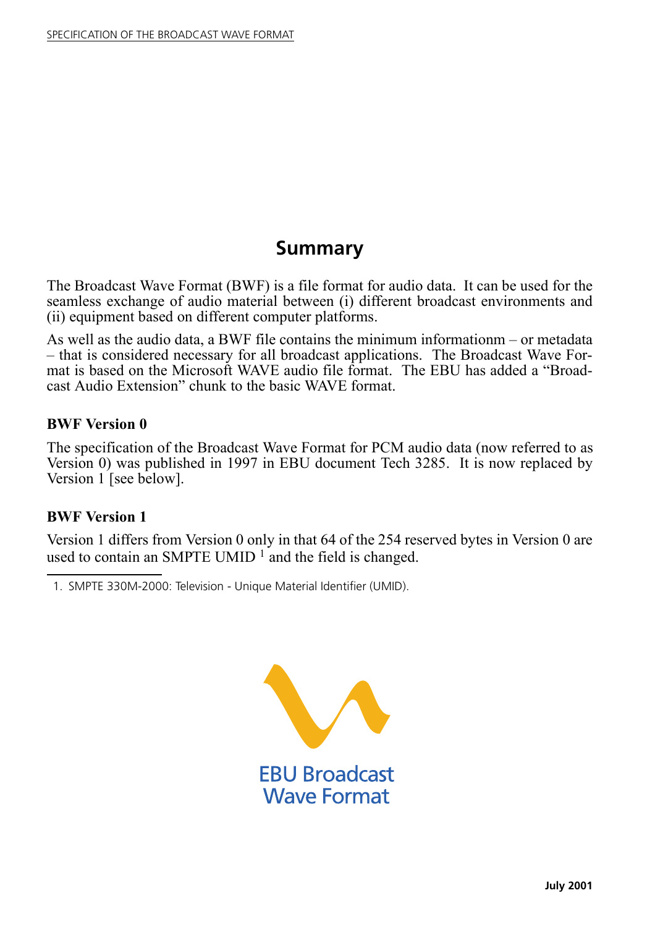## **Summary**

The Broadcast Wave Format (BWF) is a file format for audio data. It can be used for the seamless exchange of audio material between (i) different broadcast environments and (ii) equipment based on different computer platforms.

As well as the audio data, a BWF file contains the minimum informationm  $-$  or metadata – that is considered necessary for all broadcast applications. The Broadcast Wave Format is based on the Microsoft WAVE audio file format. The EBU has added a "Broadcast Audio Extension" chunk to the basic WAVE format.

#### **BWF Version 0**

The specification of the Broadcast Wave Format for PCM audio data (now referred to as Version 0) was published in 1997 in EBU document Tech 3285. It is now replaced by Version 1 [see below].

#### **BWF Version 1**

Version 1 differs from Version 0 only in that 64 of the 254 reserved bytes in Version 0 are used to contain an SMPTE UMID  $\frac{1}{1}$  and the field is changed.



<sup>1.</sup> SMPTE 330M-2000: Television - Unique Material Identifier (UMID).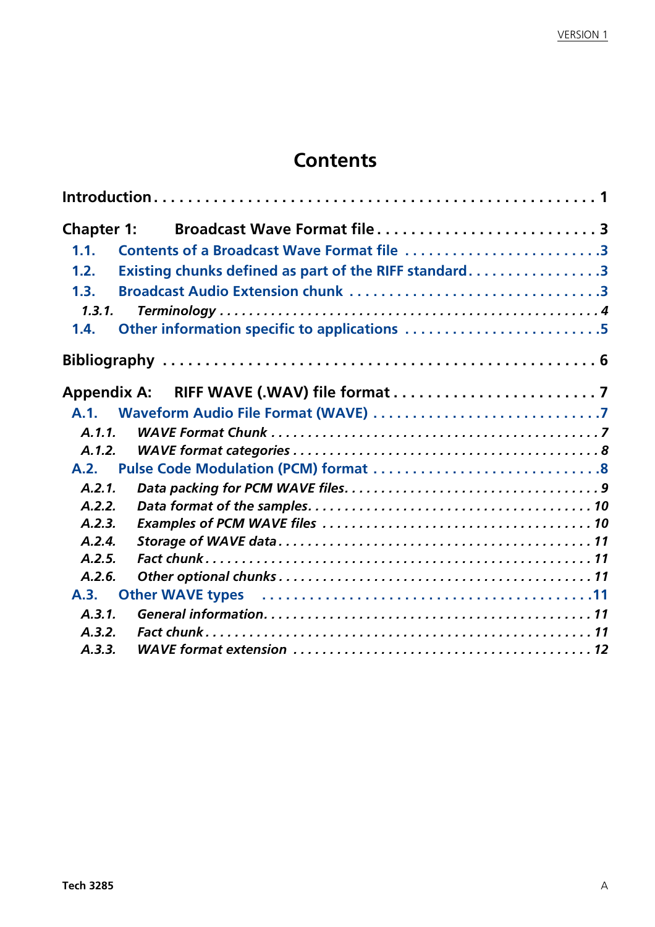## **Contents**

| <b>Chapter 1:</b> | Broadcast Wave Format file 3                                                                                             |  |
|-------------------|--------------------------------------------------------------------------------------------------------------------------|--|
| 1.1.              | Contents of a Broadcast Wave Format file 3                                                                               |  |
| 1.2.              | Existing chunks defined as part of the RIFF standard3                                                                    |  |
| 1.3.              |                                                                                                                          |  |
| 1.3.1.            |                                                                                                                          |  |
| 1.4.              | Other information specific to applications 5                                                                             |  |
|                   |                                                                                                                          |  |
|                   |                                                                                                                          |  |
|                   |                                                                                                                          |  |
| A.1.1.            |                                                                                                                          |  |
| A.1.2.            |                                                                                                                          |  |
| A.2.              |                                                                                                                          |  |
| A.2.1.            |                                                                                                                          |  |
| A.2.2.            |                                                                                                                          |  |
| A.2.3.            |                                                                                                                          |  |
| A.2.4.            |                                                                                                                          |  |
| A.2.5.            |                                                                                                                          |  |
| A.2.6.            |                                                                                                                          |  |
| A.3.              | Other WAVE types (and the contract of the contract of the view of the view of the view of the view of the view $\sim$ 11 |  |
| A.3.1.            |                                                                                                                          |  |
| A.3.2.            |                                                                                                                          |  |
| A.3.3.            |                                                                                                                          |  |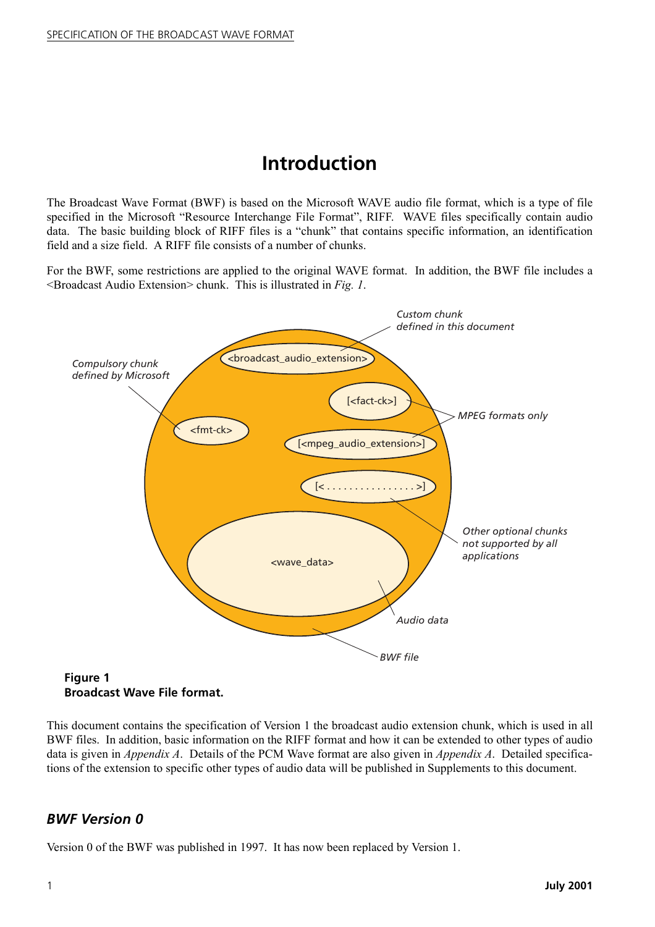## **Introduction**

<span id="page-3-0"></span>The Broadcast Wave Format (BWF) is based on the Microsoft WAVE audio file format, which is a type of file specified in the Microsoft "Resource Interchange File Format", RIFF. WAVE files specifically contain audio data. The basic building block of RIFF files is a "chunk" that contains specific information, an identification field and a size field. A RIFF file consists of a number of chunks.

For the BWF, some restrictions are applied to the original WAVE format. In addition, the BWF file includes a <Broadcast Audio Extension> chunk. This is illustrated in *Fig. 1*.



**Broadcast Wave File format.**

This document contains the specification of Version 1 the broadcast audio extension chunk, which is used in all BWF files. In addition, basic information on the RIFF format and how it can be extended to other types of audio data is given in *Appendix A*. Details of the PCM Wave format are also given in *Appendix A*. Detailed specifications of the extension to specific other types of audio data will be published in Supplements to this document.

#### *BWF Version 0*

Version 0 of the BWF was published in 1997. It has now been replaced by Version 1.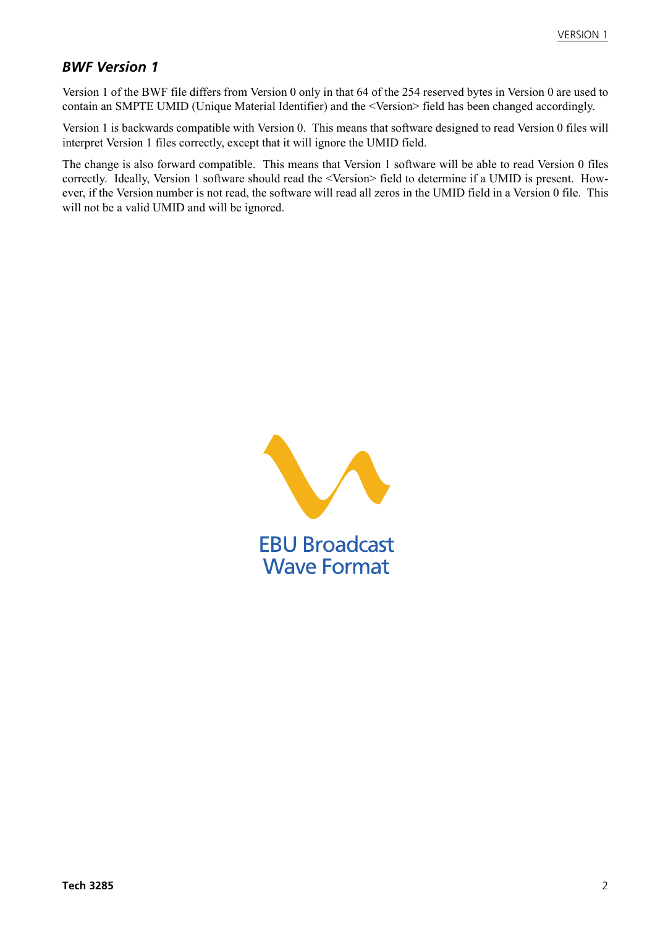#### *BWF Version 1*

Version 1 of the BWF file differs from Version 0 only in that 64 of the 254 reserved bytes in Version 0 are used to contain an SMPTE UMID (Unique Material Identifier) and the <Version> field has been changed accordingly.

Version 1 is backwards compatible with Version 0. This means that software designed to read Version 0 files will interpret Version 1 files correctly, except that it will ignore the UMID field.

The change is also forward compatible. This means that Version 1 software will be able to read Version 0 files correctly. Ideally, Version 1 software should read the <Version> field to determine if a UMID is present. However, if the Version number is not read, the software will read all zeros in the UMID field in a Version 0 file. This will not be a valid UMID and will be ignored.

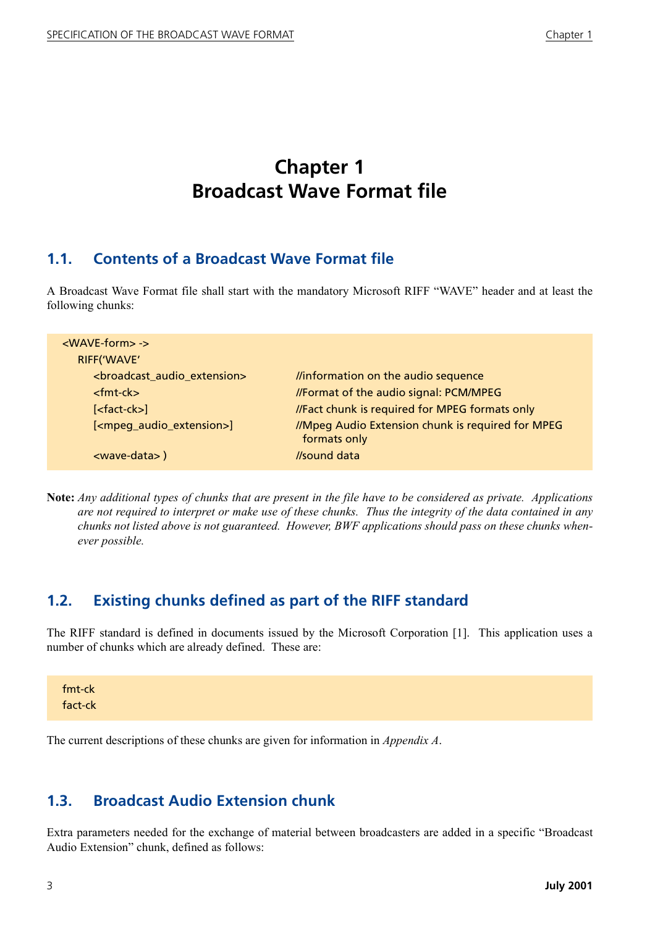## **Chapter 1 Broadcast Wave Format file**

#### <span id="page-5-1"></span><span id="page-5-0"></span>**1.1. Contents of a Broadcast Wave Format file**

A Broadcast Wave Format file shall start with the mandatory Microsoft RIFF "WAVE" header and at least the following chunks:

| <wave-form> -&gt;<br/>RIFF('WAVE'</wave-form>           |                                                                   |
|---------------------------------------------------------|-------------------------------------------------------------------|
| <broadcast_audio_extension></broadcast_audio_extension> | linformation on the audio sequence                                |
| $<$ fmt-ck $>$                                          | //Format of the audio signal: PCM/MPEG                            |
| $[<$ fact-ck $>$ ]                                      | //Fact chunk is required for MPEG formats only                    |
| [ <mpeq_audio_extension>]</mpeq_audio_extension>        | //Mpeg Audio Extension chunk is required for MPEG<br>formats only |
| <wave-data>)</wave-data>                                | //sound data                                                      |

**Note:** *Any additional types of chunks that are present in the file have to be considered as private. Applications are not required to interpret or make use of these chunks. Thus the integrity of the data contained in any chunks not listed above is not guaranteed. However, BWF applications should pass on these chunks whenever possible.*

#### <span id="page-5-2"></span>**1.2. Existing chunks defined as part of the RIFF standard**

The RIFF standard is defined in documents issued by the Microsoft Corporation [\[1\]](#page-8-1). This application uses a number of chunks which are already defined. These are:

| fmt-ck  |  |  |  |
|---------|--|--|--|
| fact-ck |  |  |  |

The current descriptions of these chunks are given for information in *Appendix A*.

#### <span id="page-5-3"></span>**1.3. Broadcast Audio Extension chunk**

Extra parameters needed for the exchange of material between broadcasters are added in a specific "Broadcast" Audio Extension" chunk, defined as follows: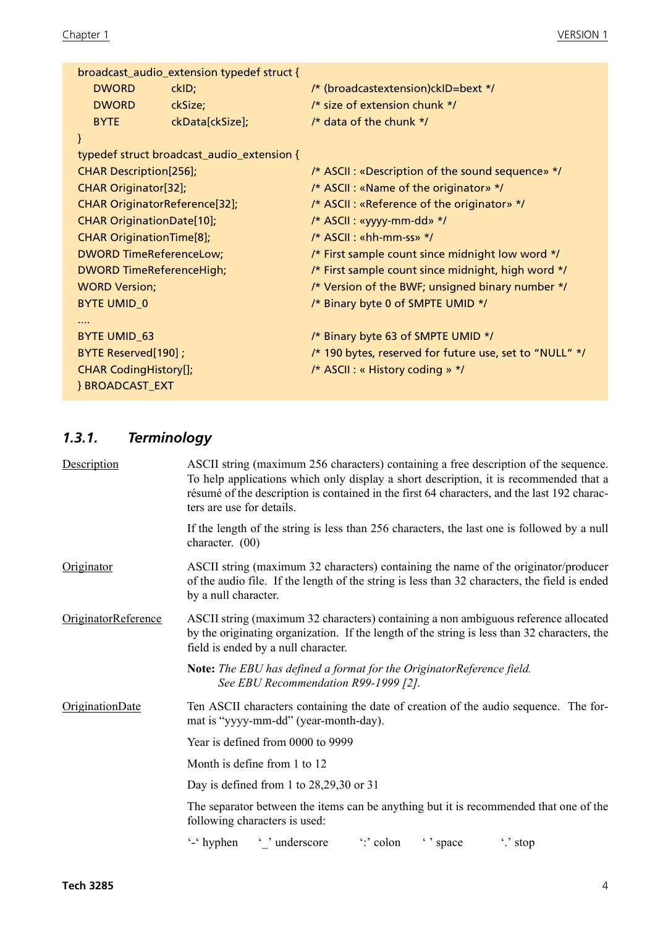|                                      | broadcast_audio_extension typedef struct { |                                                         |
|--------------------------------------|--------------------------------------------|---------------------------------------------------------|
| <b>DWORD</b>                         | ckID;                                      | /* (broadcastextension)ckID=bext */                     |
| <b>DWORD</b>                         | ckSize;                                    | /* size of extension chunk */                           |
| <b>BYTE</b>                          | ckData[ckSize];                            | /* data of the chunk */                                 |
| $\mathcal{E}$                        |                                            |                                                         |
|                                      | typedef struct broadcast_audio_extension { |                                                         |
| <b>CHAR Description[256];</b>        |                                            | /* ASCII : «Description of the sound sequence» */       |
| <b>CHAR Originator[32];</b>          |                                            | /* ASCII : «Name of the originator» */                  |
| <b>CHAR OriginatorReference[32];</b> |                                            | /* ASCII : «Reference of the originator» */             |
| <b>CHAR OriginationDate[10];</b>     |                                            | /* ASCII : «yyyy-mm-dd» */                              |
| <b>CHAR OriginationTime[8];</b>      |                                            | /* ASCII: «hh-mm-ss» */                                 |
| <b>DWORD TimeReferenceLow;</b>       |                                            | /* First sample count since midnight low word */        |
| <b>DWORD TimeReferenceHigh;</b>      |                                            | /* First sample count since midnight, high word */      |
| <b>WORD Version;</b>                 |                                            | /* Version of the BWF; unsigned binary number */        |
| <b>BYTE UMID_0</b>                   |                                            | /* Binary byte 0 of SMPTE UMID */                       |
|                                      |                                            |                                                         |
| <b>BYTE UMID_63</b>                  |                                            | /* Binary byte 63 of SMPTE UMID */                      |
| BYTE Reserved[190];                  |                                            | /* 190 bytes, reserved for future use, set to "NULL" */ |
| <b>CHAR CodingHistory[];</b>         |                                            | /* ASCII : « History coding » */                        |
| <b>BROADCAST EXT</b>                 |                                            |                                                         |

## <span id="page-6-0"></span>*1.3.1. Terminology*

| Description                | ASCII string (maximum 256 characters) containing a free description of the sequence.<br>To help applications which only display a short description, it is recommended that a<br>résumé of the description is contained in the first 64 characters, and the last 192 charac-<br>ters are use for details. |
|----------------------------|-----------------------------------------------------------------------------------------------------------------------------------------------------------------------------------------------------------------------------------------------------------------------------------------------------------|
|                            | If the length of the string is less than 256 characters, the last one is followed by a null<br>character. $(00)$                                                                                                                                                                                          |
| Originator                 | ASCII string (maximum 32 characters) containing the name of the originator/producer<br>of the audio file. If the length of the string is less than 32 characters, the field is ended<br>by a null character.                                                                                              |
| <b>OriginatorReference</b> | ASCII string (maximum 32 characters) containing a non ambiguous reference allocated<br>by the originating organization. If the length of the string is less than 32 characters, the<br>field is ended by a null character.                                                                                |
|                            | Note: The EBU has defined a format for the OriginatorReference field.<br>See EBU Recommendation R99-1999 [2].                                                                                                                                                                                             |
| OriginationDate            | Ten ASCII characters containing the date of creation of the audio sequence. The for-<br>mat is "yyyy-mm-dd" (year-month-day).                                                                                                                                                                             |
|                            | Year is defined from 0000 to 9999                                                                                                                                                                                                                                                                         |
|                            | Month is define from 1 to 12                                                                                                                                                                                                                                                                              |
|                            | Day is defined from 1 to $28,29,30$ or 31                                                                                                                                                                                                                                                                 |
|                            | The separator between the items can be anything but it is recommended that one of the<br>following characters is used:                                                                                                                                                                                    |
|                            | "colon" space<br>'-' hyphen ' ' underscore<br>".' stop                                                                                                                                                                                                                                                    |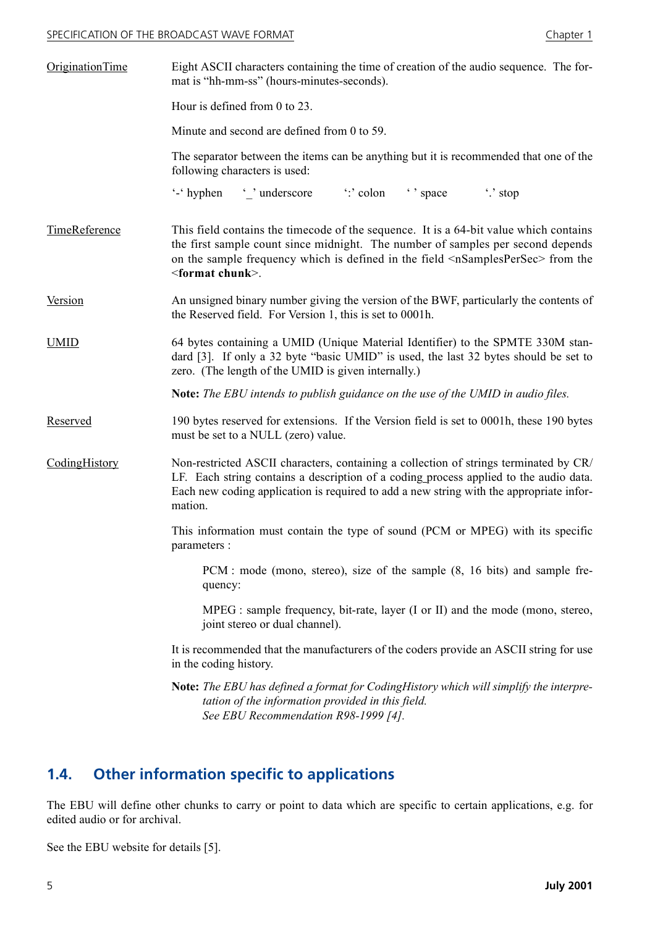#### SPECIFICATION OF THE BROADCAST WAVE FORMAT

| napter |  |
|--------|--|
|--------|--|

| <b>OriginationTime</b>                                                                                                                                                                                                                                                                                | Eight ASCII characters containing the time of creation of the audio sequence. The for-<br>mat is "hh-mm-ss" (hours-minutes-seconds).                                                                                                                                                                                           |  |  |  |  |
|-------------------------------------------------------------------------------------------------------------------------------------------------------------------------------------------------------------------------------------------------------------------------------------------------------|--------------------------------------------------------------------------------------------------------------------------------------------------------------------------------------------------------------------------------------------------------------------------------------------------------------------------------|--|--|--|--|
|                                                                                                                                                                                                                                                                                                       | Hour is defined from 0 to 23.                                                                                                                                                                                                                                                                                                  |  |  |  |  |
|                                                                                                                                                                                                                                                                                                       | Minute and second are defined from 0 to 59.                                                                                                                                                                                                                                                                                    |  |  |  |  |
|                                                                                                                                                                                                                                                                                                       | The separator between the items can be anything but it is recommended that one of the<br>following characters is used:                                                                                                                                                                                                         |  |  |  |  |
|                                                                                                                                                                                                                                                                                                       | $\therefore$ stop<br>$\cdot$ hyphen                                                                                                                                                                                                                                                                                            |  |  |  |  |
| TimeReference                                                                                                                                                                                                                                                                                         | This field contains the timecode of the sequence. It is a 64-bit value which contains<br>the first sample count since midnight. The number of samples per second depends<br>on the sample frequency which is defined in the field <nsamplespersec> from the<br/><math>\le</math>format chunk<math>\ge</math>.</nsamplespersec> |  |  |  |  |
| <b>Version</b>                                                                                                                                                                                                                                                                                        | An unsigned binary number giving the version of the BWF, particularly the contents of<br>the Reserved field. For Version 1, this is set to 0001h.                                                                                                                                                                              |  |  |  |  |
| <b>UMID</b>                                                                                                                                                                                                                                                                                           | 64 bytes containing a UMID (Unique Material Identifier) to the SPMTE 330M stan-<br>dard [3]. If only a 32 byte "basic UMID" is used, the last 32 bytes should be set to<br>zero. (The length of the UMID is given internally.)                                                                                                 |  |  |  |  |
|                                                                                                                                                                                                                                                                                                       | <b>Note:</b> The EBU intends to publish guidance on the use of the UMID in audio files.                                                                                                                                                                                                                                        |  |  |  |  |
| Reserved                                                                                                                                                                                                                                                                                              | 190 bytes reserved for extensions. If the Version field is set to 0001h, these 190 bytes<br>must be set to a NULL (zero) value.                                                                                                                                                                                                |  |  |  |  |
| CodingHistory<br>Non-restricted ASCII characters, containing a collection of strings terminated by CR/<br>LF. Each string contains a description of a coding process applied to the audio data.<br>Each new coding application is required to add a new string with the appropriate infor-<br>mation. |                                                                                                                                                                                                                                                                                                                                |  |  |  |  |
|                                                                                                                                                                                                                                                                                                       | This information must contain the type of sound (PCM or MPEG) with its specific<br>parameters :                                                                                                                                                                                                                                |  |  |  |  |
| PCM : mode (mono, stereo), size of the sample (8, 16 bits) and sample fre-<br>quency:                                                                                                                                                                                                                 |                                                                                                                                                                                                                                                                                                                                |  |  |  |  |
|                                                                                                                                                                                                                                                                                                       | MPEG : sample frequency, bit-rate, layer (I or II) and the mode (mono, stereo,<br>joint stereo or dual channel).                                                                                                                                                                                                               |  |  |  |  |
|                                                                                                                                                                                                                                                                                                       | It is recommended that the manufacturers of the coders provide an ASCII string for use<br>in the coding history.                                                                                                                                                                                                               |  |  |  |  |
|                                                                                                                                                                                                                                                                                                       | Note: The EBU has defined a format for CodingHistory which will simplify the interpre-<br>tation of the information provided in this field.<br>See EBU Recommendation R98-1999 [4].                                                                                                                                            |  |  |  |  |

### <span id="page-7-0"></span>**1.4. Other information specific to applications**

The EBU will define other chunks to carry or point to data which are specific to certain applications, e.g. for edited audio or for archival.

See the EBU website for details [\[5\]](#page-8-5).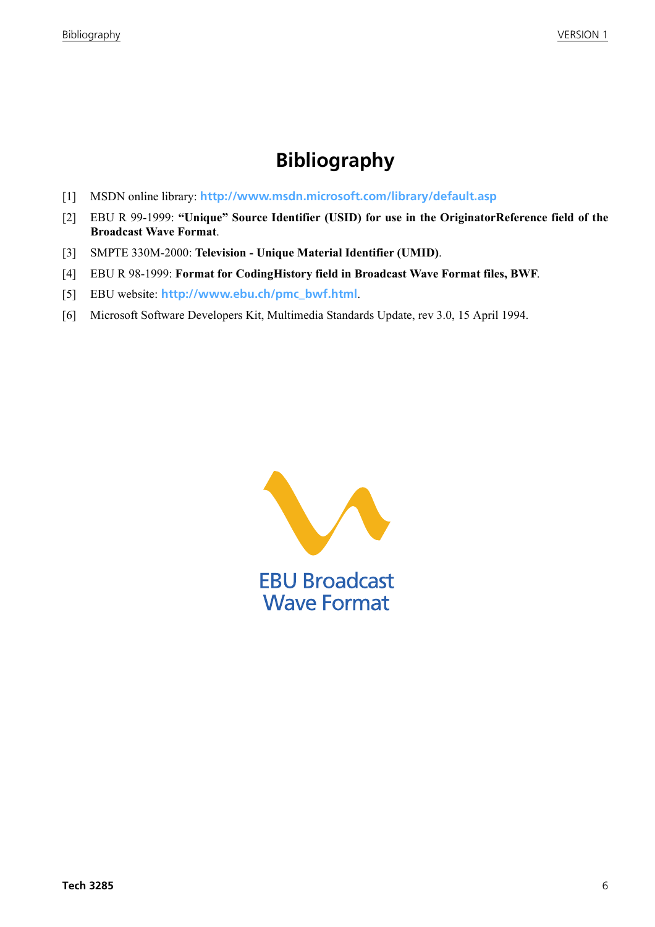## **Bibliography**

- <span id="page-8-1"></span><span id="page-8-0"></span>[1] MSDN online library: **<http://www.msdn.microsoft.com/library/default.asp>**
- <span id="page-8-2"></span>[2] EBU R 99-1999: "Unique" Source Identifier (USID) for use in the OriginatorReference field of the **Broadcast Wave Format**.
- <span id="page-8-3"></span>[3] SMPTE 330M-2000: **Television - Unique Material Identifier (UMID)**.
- <span id="page-8-4"></span>[4] EBU R 98-1999: **Format for CodingHistory field in Broadcast Wave Format files, BWF**.
- <span id="page-8-5"></span>[5] EBU website: **[http://www.ebu.ch/pmc\\_bwf.html](http://www.ebu.ch/pmc_bwf.html)**.
- <span id="page-8-6"></span>[6] Microsoft Software Developers Kit, Multimedia Standards Update, rev 3.0, 15 April 1994.

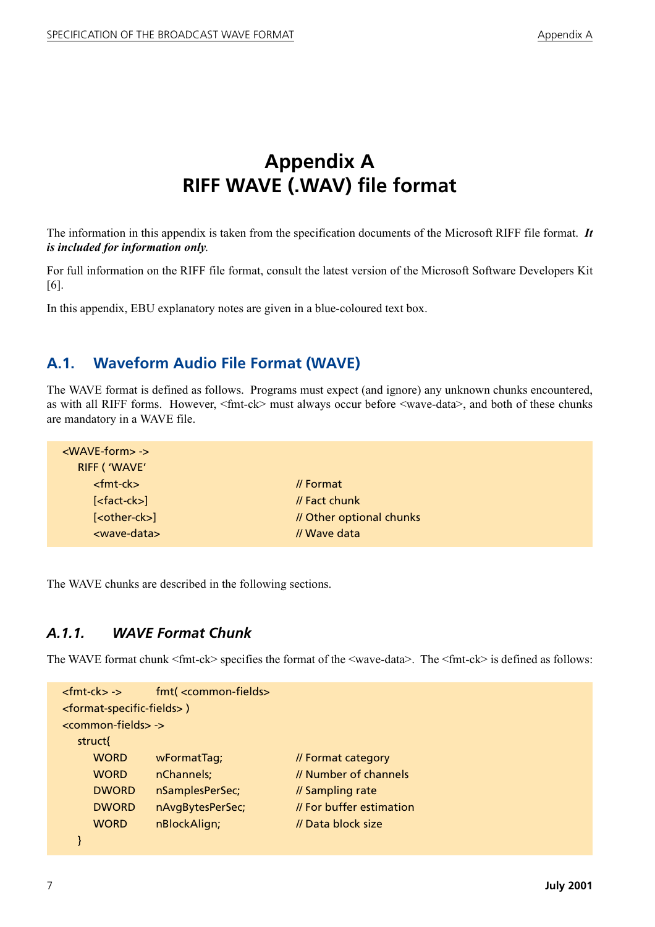## **Appendix A RIFF WAVE (.WAV) file format**

<span id="page-9-0"></span>The information in this appendix is taken from the specification documents of the Microsoft RIFF file format. *It is included for information only*.

For full information on the RIFF file format, consult the latest version of the Microsoft Software Developers Kit [\[6\]](#page-8-6).

In this appendix, EBU explanatory notes are given in a blue-coloured text box.

#### <span id="page-9-1"></span>**A.1. Waveform Audio File Format (WAVE)**

The WAVE format is defined as follows. Programs must expect (and ignore) any unknown chunks encountered, as with all RIFF forms. However, <fmt-ck> must always occur before <wave-data>, and both of these chunks are mandatory in a WAVE file.

| $<$ WAVE-form $>$ - $>$<br>RIFF ('WAVE' |                          |  |
|-----------------------------------------|--------------------------|--|
| $<$ fmt-ck $>$                          | $\prime\prime$ Format    |  |
| $[<$ fact-ck $>$ ]                      | // Fact chunk            |  |
| [ <other-ck>]</other-ck>                | // Other optional chunks |  |
| <wave-data></wave-data>                 | // Wave data             |  |
|                                         |                          |  |

The WAVE chunks are described in the following sections.

#### <span id="page-9-2"></span>*A.1.1. WAVE Format Chunk*

The WAVE format chunk <fmt-ck> specifies the format of the <wave-data>. The <fmt-ck> is defined as follows:

| $<$ fmt-ck $>$ - $>$                               | fmt( <common-fields></common-fields> |                          |
|----------------------------------------------------|--------------------------------------|--------------------------|
| <format-specific-fields>)</format-specific-fields> |                                      |                          |
| <common-fields> -&gt;</common-fields>              |                                      |                          |
| struct{                                            |                                      |                          |
| <b>WORD</b>                                        | wFormatTag;                          | // Format category       |
| <b>WORD</b>                                        | nChannels;                           | // Number of channels    |
| <b>DWORD</b>                                       | nSamplesPerSec;                      | // Sampling rate         |
| <b>DWORD</b>                                       | nAvgBytesPerSec;                     | // For buffer estimation |
| <b>WORD</b>                                        | nBlockAlign;                         | // Data block size       |
|                                                    |                                      |                          |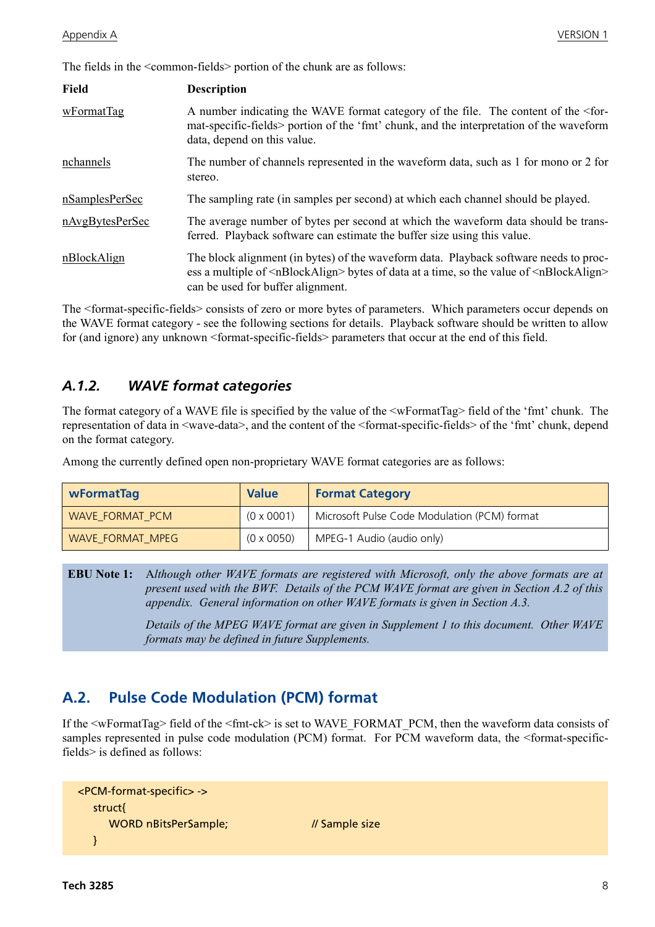The fields in the <common-fields> portion of the chunk are as follows:

| <b>Field</b>    | <b>Description</b>                                                                                                                                                                                                                                   |
|-----------------|------------------------------------------------------------------------------------------------------------------------------------------------------------------------------------------------------------------------------------------------------|
| wFormatTag      | A number indicating the WAVE format category of the file. The content of the <for-<br>mat-specific-fields&gt; portion of the 'fmt' chunk, and the interpretation of the waveform<br/>data, depend on this value.</for-<br>                           |
| nchannels       | The number of channels represented in the waveform data, such as 1 for mono or 2 for<br>stereo.                                                                                                                                                      |
| nSamplesPerSec  | The sampling rate (in samples per second) at which each channel should be played.                                                                                                                                                                    |
| nAvgBytesPerSec | The average number of bytes per second at which the waveform data should be trans-<br>ferred. Playback software can estimate the buffer size using this value.                                                                                       |
| nBlockAlign     | The block alignment (in bytes) of the waveform data. Playback software needs to proc-<br>ess a multiple of $\langle nBlockAlign \rangle$ bytes of data at a time, so the value of $\langle nBlockAlign \rangle$<br>can be used for buffer alignment. |

The <format-specific-fields> consists of zero or more bytes of parameters. Which parameters occur depends on the WAVE format category - see the following sections for details. Playback software should be written to allow for (and ignore) any unknown <format-specific-fields> parameters that occur at the end of this field.

#### <span id="page-10-0"></span>*A.1.2. WAVE format categories*

The format category of a WAVE file is specified by the value of the  $\leq$ wFormatTag> field of the 'fmt' chunk. The representation of data in <wave-data>, and the content of the <format-specific-fields> of the 'fmt' chunk, depend on the format category.

Among the currently defined open non-proprietary WAVE format categories are as follows:

| <b>WFormatTag</b> | <b>Value</b>      | <b>Format Category</b>                       |
|-------------------|-------------------|----------------------------------------------|
| WAVE FORMAT PCM   | $(0 \times 0001)$ | Microsoft Pulse Code Modulation (PCM) format |
| WAVE FORMAT MPEG  | $(0 \times 0050)$ | MPEG-1 Audio (audio only)                    |

**EBU Note 1:** A*lthough other WAVE formats are registered with Microsoft, only the above formats are at present used with the BWF. Details of the PCM WAVE format are given in Section A.2 of this appendix. General information on other WAVE formats is given in Section A.3.*

> *Details of the MPEG WAVE format are given in Supplement 1 to this document. Other WAVE formats may be defined in future Supplements.*

#### <span id="page-10-1"></span>**A.2. Pulse Code Modulation (PCM) format**

If the <wFormatTag> field of the <fmt-ck> is set to WAVE\_FORMAT\_PCM, then the waveform data consists of samples represented in pulse code modulation (PCM) format. For PCM waveform data, the <format-specificfields> is defined as follows:

```
<PCM-format-specific> ->
  struct{
    WORD nBitsPerSample; // Sample size
  }
```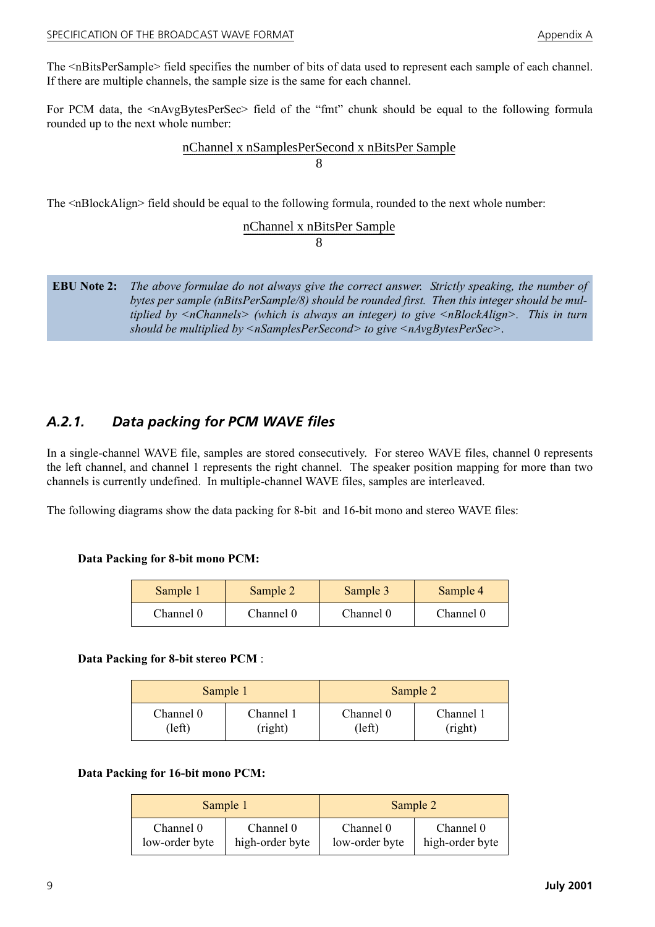#### SPECIFICATION OF THE BROADCAST WAVE FORMAT Appendix A

The <nBitsPerSample> field specifies the number of bits of data used to represent each sample of each channel. If there are multiple channels, the sample size is the same for each channel.

For PCM data, the  $\langle nAv\rangle$  as the Should of the "fmt" chunk should be equal to the following formula rounded up to the next whole number:

## nChannel x nSamplesPerSecond x nBitsPer Sample<br>8

The <nBlockAlign> field should be equal to the following formula, rounded to the next whole number:

# nChannel x nBitsPer Sample<br>8

**EBU Note 2:** *The above formulae do not always give the correct answer. Strictly speaking, the number of bytes per sample (nBitsPerSample/8) should be rounded first. Then this integer should be multiplied by <nChannels> (which is always an integer) to give <nBlockAlign>. This in turn should be multiplied by <nSamplesPerSecond> to give <nAvgBytesPerSec>*.

#### <span id="page-11-0"></span>*A.2.1. Data packing for PCM WAVE files*

In a single-channel WAVE file, samples are stored consecutively. For stereo WAVE files, channel 0 represents the left channel, and channel 1 represents the right channel. The speaker position mapping for more than two channels is currently undefined. In multiple-channel WAVE files, samples are interleaved.

The following diagrams show the data packing for 8-bit and 16-bit mono and stereo WAVE files:

#### **Data Packing for 8-bit mono PCM:**

| Sample 1  | Sample 2  | Sample 3  | Sample 4  |
|-----------|-----------|-----------|-----------|
| Channel 0 | Channel 0 | Channel 0 | Channel 0 |

#### **Data Packing for 8-bit stereo PCM** :

| Sample 1  |           | Sample 2  |           |
|-----------|-----------|-----------|-----------|
| Channel 0 | Channel 1 | Channel 0 | Channel 1 |
| left)     | (right)   | (left)    | (right)   |

#### **Data Packing for 16-bit mono PCM:**

| Sample 1       |                 | Sample 2       |                 |
|----------------|-----------------|----------------|-----------------|
| Channel 0      | Channel 0       | Channel 0      | Channel 0       |
| low-order byte | high-order byte | low-order byte | high-order byte |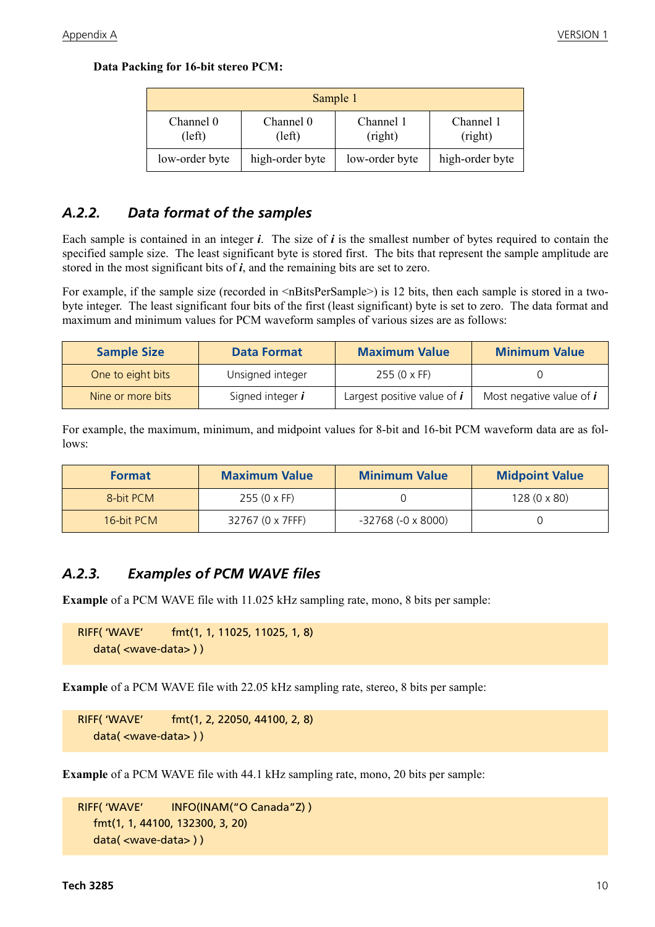**Data Packing for 16-bit stereo PCM:**

| Sample 1            |                     |                      |                      |
|---------------------|---------------------|----------------------|----------------------|
| Channel 0<br>(left) | Channel 0<br>(left) | Channel 1<br>(right) | Channel 1<br>(right) |
| low-order byte      | high-order byte     | low-order byte       | high-order byte      |

#### <span id="page-12-0"></span>*A.2.2. Data format of the samples*

Each sample is contained in an integer *i*. The size of *i* is the smallest number of bytes required to contain the specified sample size. The least significant byte is stored first. The bits that represent the sample amplitude are stored in the most significant bits of *i*, and the remaining bits are set to zero.

For example, if the sample size (recorded in  $\langle nBitsPerSample \rangle$ ) is 12 bits, then each sample is stored in a twobyte integer. The least significant four bits of the first (least significant) byte is set to zero. The data format and maximum and minimum values for PCM waveform samples of various sizes are as follows:

| <b>Sample Size</b> | <b>Data Format</b>      | <b>Maximum Value</b>          | <b>Minimum Value</b>            |
|--------------------|-------------------------|-------------------------------|---------------------------------|
| One to eight bits  | Unsigned integer        | $255(0 \times FF)$            |                                 |
| Nine or more bits  | Signed integer <i>i</i> | Largest positive value of $i$ | Most negative value of <i>i</i> |

For example, the maximum, minimum, and midpoint values for 8-bit and 16-bit PCM waveform data are as follows:

| <b>Format</b> | <b>Maximum Value</b> | <b>Minimum Value</b>          | <b>Midpoint Value</b> |
|---------------|----------------------|-------------------------------|-----------------------|
| 8-bit PCM     | $255(0 \times FF)$   |                               | $128(0 \times 80)$    |
| 16-bit PCM    | 32767 (0 x 7FFF)     | $-32768$ ( $-0 \times 8000$ ) |                       |

#### <span id="page-12-1"></span>*A.2.3. Examples of PCM WAVE files*

**Example** of a PCM WAVE file with 11.025 kHz sampling rate, mono, 8 bits per sample:

```
RIFF( 'WAVE' fmt(1, 1, 11025, 11025, 1, 8)
   data( <wave-data> ) )
```
**Example** of a PCM WAVE file with 22.05 kHz sampling rate, stereo, 8 bits per sample:

RIFF( 'WAVE' fmt(1, 2, 22050, 44100, 2, 8) data( <wave-data> ) )

**Example** of a PCM WAVE file with 44.1 kHz sampling rate, mono, 20 bits per sample:

```
RIFF( 'WAVE' INFO(INAM("O Canada"Z) )
  fmt(1, 1, 44100, 132300, 3, 20)
  data( <wave-data> ) )
```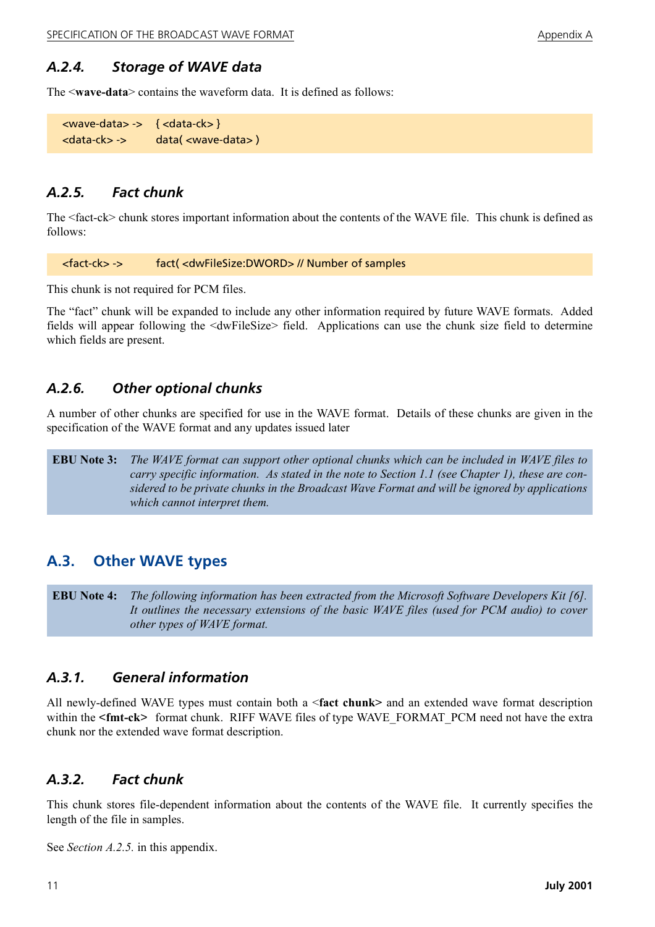#### <span id="page-13-0"></span>*A.2.4. Storage of WAVE data*

The <**wave-data**> contains the waveform data. It is defined as follows:

```
<wave-data> -> { <data-ck> }
<data-ck> -> data( <wave-data> )
```
#### <span id="page-13-1"></span>*A.2.5. Fact chunk*

The <fact-ck> chunk stores important information about the contents of the WAVE file. This chunk is defined as follows:

<fact-ck> -> fact( <dwFileSize:DWORD> // Number of samples

This chunk is not required for PCM files.

The "fact" chunk will be expanded to include any other information required by future WAVE formats. Added fields will appear following the <dwFileSize> field. Applications can use the chunk size field to determine which fields are present.

#### <span id="page-13-2"></span>*A.2.6. Other optional chunks*

A number of other chunks are specified for use in the WAVE format. Details of these chunks are given in the specification of the WAVE format and any updates issued later

**EBU Note 3:** *The WAVE format can support other optional chunks which can be included in WAVE files to carry specific information. As stated in the note to Section 1.1 (see Chapter 1), these are considered to be private chunks in the Broadcast Wave Format and will be ignored by applications which cannot interpret them.*

#### <span id="page-13-3"></span>**A.3. Other WAVE types**

**EBU Note 4:** *The following information has been extracted from the Microsoft Software Developers Kit [\[6\].](#page-8-6) It outlines the necessary extensions of the basic WAVE files (used for PCM audio) to cover other types of WAVE format.*

#### <span id="page-13-4"></span>*A.3.1. General information*

All newly-defined WAVE types must contain both a <**fact chunk>** and an extended wave format description within the <fmt-ck> format chunk. RIFF WAVE files of type WAVE\_FORMAT\_PCM need not have the extra chunk nor the extended wave format description.

#### <span id="page-13-5"></span>*A.3.2. Fact chunk*

This chunk stores file-dependent information about the contents of the WAVE file. It currently specifies the length of the file in samples.

See *Section A.2.5.* in this appendix.